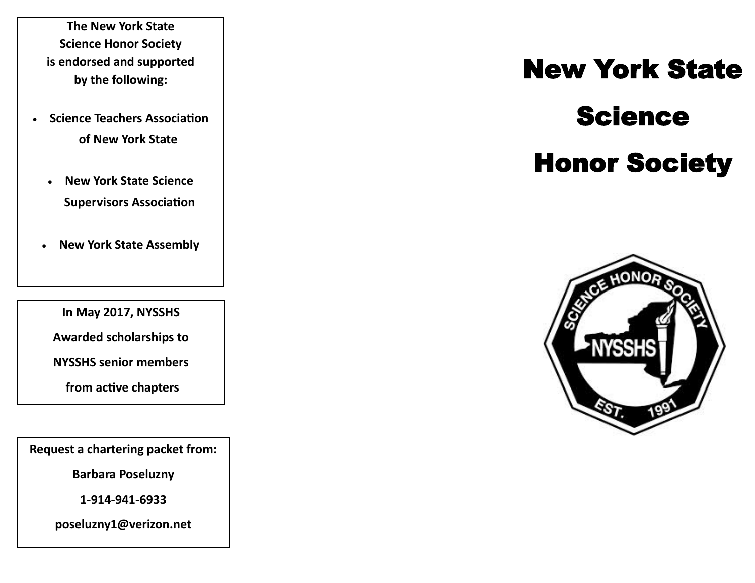**The New York State Science Honor Society is endorsed and supported by the following:**

- **Science Teachers Association of New York State**
	- **New York State Science Supervisors Association**
- **New York State Assembly**

**In May 2017, NYSSHS** 

**Awarded scholarships to** 

**NYSSHS senior members**

**from active chapters**

**Request a chartering packet from:**

**Barbara Poseluzny**

**1-914-941-6933**

**poseluzny1@verizon.net**

# New York State Science

### Honor Society